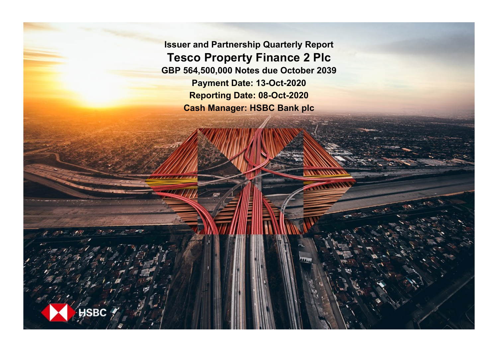**Issuer and Partnership Quarterly Report Tesco Property Finance 2 Plc GBP 564,500,000 Notes due October 2039 Payment Date: 13-Oct-2020 Reporting Date: 08-Oct-2020 Cash Manager: HSBC Bank plc**

**ISBC**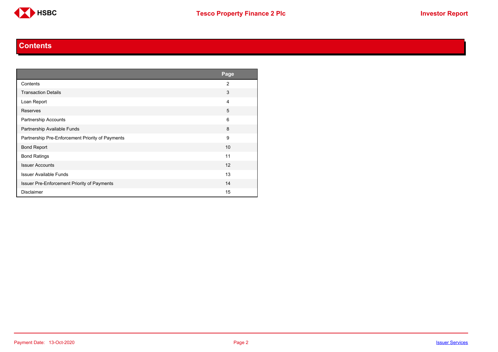

#### **Contents**

<span id="page-1-0"></span>

|                                                  | Page           |
|--------------------------------------------------|----------------|
| Contents                                         | $\overline{2}$ |
| <b>Transaction Details</b>                       | 3              |
| Loan Report                                      | 4              |
| Reserves                                         | 5              |
| Partnership Accounts                             | 6              |
| Partnership Available Funds                      | 8              |
| Partnership Pre-Enforcement Priority of Payments | 9              |
| <b>Bond Report</b>                               | 10             |
| <b>Bond Ratings</b>                              | 11             |
| <b>Issuer Accounts</b>                           | 12             |
| <b>Issuer Available Funds</b>                    | 13             |
| Issuer Pre-Enforcement Priority of Payments      | 14             |
| <b>Disclaimer</b>                                | 15             |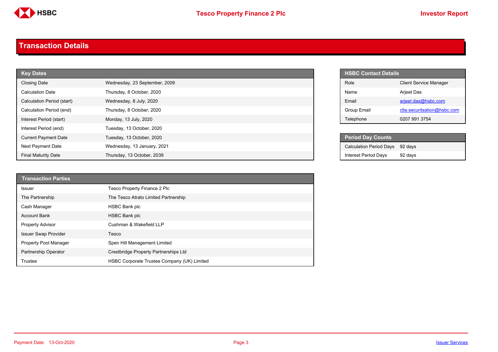

#### <span id="page-2-0"></span>**Transaction Details**

| <b>Key Dates</b>            |                               |       | <b>HSBC Contact Details</b>    |                               |
|-----------------------------|-------------------------------|-------|--------------------------------|-------------------------------|
| <b>Closing Date</b>         | Wednesday, 23 September, 2009 | Role  |                                | <b>Client Service Manager</b> |
| <b>Calculation Date</b>     | Thursday, 8 October, 2020     | Name  |                                | Arjeet Das                    |
| Calculation Period (start)  | Wednesday, 8 July, 2020       | Email |                                | arjeet.das@hsbc.com           |
| Calculation Period (end)    | Thursday, 8 October, 2020     |       | <b>Group Email</b>             | ctla.securitsation@hsbc.com   |
| Interest Period (start)     | Monday, 13 July, 2020         |       | Telephone                      | 0207 991 3754                 |
| Interest Period (end)       | Tuesday, 13 October, 2020     |       |                                |                               |
| <b>Current Payment Date</b> | Tuesday, 13 October, 2020     |       | <b>Period Day Counts</b>       |                               |
| Next Payment Date           | Wednesday, 13 January, 2021   |       | <b>Calculation Period Days</b> | 92 days                       |
| <b>Final Maturity Date</b>  | Thursday, 13 October, 2039    |       | <b>Interest Period Days</b>    | 92 days                       |

| <b>Transaction Parties</b>   |                                             |
|------------------------------|---------------------------------------------|
| <b>Issuer</b>                | Tesco Property Finance 2 Plc                |
| The Partnership              | The Tesco Atrato Limited Partnership        |
| Cash Manager                 | <b>HSBC Bank plc</b>                        |
| <b>Account Bank</b>          | <b>HSBC Bank plc</b>                        |
| <b>Property Advisor</b>      | Cushman & Wakefield LLP                     |
| <b>Issuer Swap Provider</b>  | Tesco                                       |
| <b>Property Pool Manager</b> | Spen Hill Management Limited                |
| <b>Partnership Operator</b>  | Crestbridge Property Partnerships Ltd       |
| Trustee                      | HSBC Corporate Trustee Company (UK) Limited |

| <b>HSBC Contact Details</b> |                               |
|-----------------------------|-------------------------------|
| Role                        | <b>Client Service Manager</b> |
| Name                        | <b>Arjeet Das</b>             |
| Fmail                       | arjeet.das@hsbc.com           |
| Group Email                 | ctla.securitsation@hsbc.com   |
| Telephone                   | 0207 991 3754                 |

| <b>Period Day Counts</b>        |         |
|---------------------------------|---------|
| Calculation Period Days 92 days |         |
| <b>Interest Period Days</b>     | 92 days |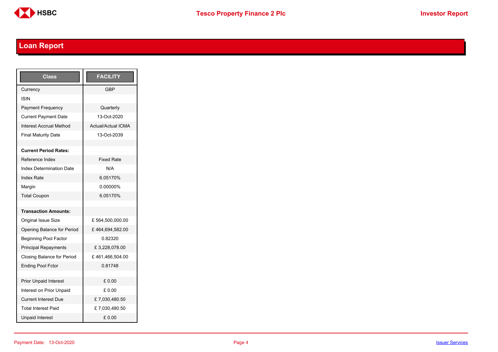

# <span id="page-3-0"></span>**Loan Report**

| <b>Class</b>                      | <b>FACILITY</b>           |
|-----------------------------------|---------------------------|
| Currency                          | GBP                       |
| ISIN                              |                           |
| <b>Payment Frequency</b>          | Quarterly                 |
| <b>Current Payment Date</b>       | 13-Oct-2020               |
| <b>Interest Accrual Method</b>    | <b>Actual/Actual ICMA</b> |
| <b>Final Maturity Date</b>        | 13-Oct-2039               |
|                                   |                           |
| <b>Current Period Rates:</b>      |                           |
| Reference Index                   | <b>Fixed Rate</b>         |
| <b>Index Determination Date</b>   | N/A                       |
| <b>Index Rate</b>                 | 6.05170%                  |
| Margin                            | 0.00000%                  |
| <b>Total Coupon</b>               | 6.05170%                  |
|                                   |                           |
| <b>Transaction Amounts:</b>       |                           |
| <b>Original Issue Size</b>        | £564,500,000.00           |
| Opening Balance for Period        | £464,694,582.00           |
| <b>Beginning Pool Factor</b>      | 0.82320                   |
| <b>Principal Repayments</b>       | £3,228,078.00             |
| <b>Closing Balance for Period</b> | £461,466,504.00           |
| <b>Ending Pool Fctor</b>          | 0.81748                   |
|                                   |                           |
| <b>Prior Unpaid Interest</b>      | £0.00                     |
| Interest on Prior Unpaid          | £ 0.00                    |
| <b>Current Interest Due</b>       | £7,030,480.50             |
| <b>Total Interest Paid</b>        | £7,030,480.50             |
| <b>Unpaid Interest</b>            | £0.00                     |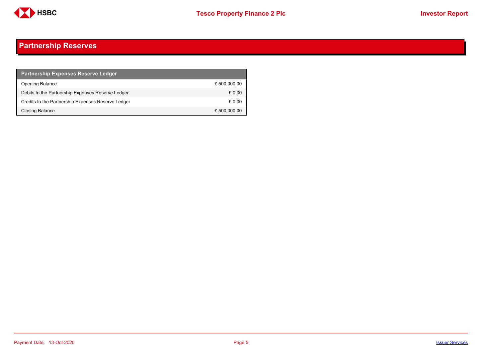

## <span id="page-4-0"></span>**Partnership Reserves**

| <b>Partnership Expenses Reserve Ledger</b>         |              |
|----------------------------------------------------|--------------|
| <b>Opening Balance</b>                             | £500,000.00  |
| Debits to the Partnership Expenses Reserve Ledger  | £ 0.00       |
| Credits to the Partnership Expenses Reserve Ledger | £ 0.00       |
| Closing Balance                                    | £ 500,000.00 |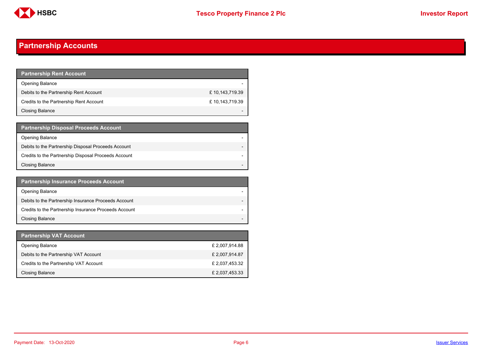

## <span id="page-5-0"></span>**Partnership Accounts**

| <b>Partnership Rent Account</b>         |                |
|-----------------------------------------|----------------|
| <b>Opening Balance</b>                  |                |
| Debits to the Partnership Rent Account  | £10,143,719.39 |
| Credits to the Partnership Rent Account | £10,143,719.39 |
| <b>Closing Balance</b>                  |                |

| <b>Partnership Disposal Proceeds Account</b>         |  |
|------------------------------------------------------|--|
| Opening Balance                                      |  |
| Debits to the Partnership Disposal Proceeds Account  |  |
| Credits to the Partnership Disposal Proceeds Account |  |
| <b>Closing Balance</b>                               |  |

| <b>Partnership Insurance Proceeds Account</b>         |  |
|-------------------------------------------------------|--|
| <b>Opening Balance</b>                                |  |
| Debits to the Partnership Insurance Proceeds Account  |  |
| Credits to the Partnership Insurance Proceeds Account |  |
| <b>Closing Balance</b>                                |  |

| <b>Partnership VAT Account</b>         |                |
|----------------------------------------|----------------|
| <b>Opening Balance</b>                 | £ 2,007,914.88 |
| Debits to the Partnership VAT Account  | £2,007,914.87  |
| Credits to the Partnership VAT Account | £ 2,037,453.32 |
| Closing Balance                        | £ 2,037,453.33 |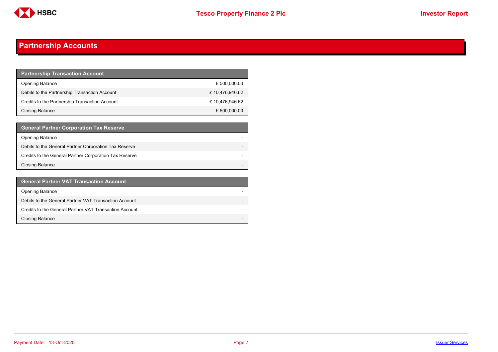

## **Partnership Accounts**

| <b>Partnership Transaction Account</b>         |                |
|------------------------------------------------|----------------|
| <b>Opening Balance</b>                         | £ 500,000.00   |
| Debits to the Partnership Transaction Account  | £10,476,946.62 |
| Credits to the Partnership Transaction Account | £10,476,946.62 |
| Closing Balance                                | £ 500,000.00   |

| <b>General Partner Corporation Tax Reserve</b>         |  |
|--------------------------------------------------------|--|
| <b>Opening Balance</b>                                 |  |
| Debits to the General Partner Corporation Tax Reserve  |  |
| Credits to the General Partner Corporation Tax Reserve |  |
| <b>Closing Balance</b>                                 |  |

| <b>General Partner VAT Transaction Account</b>         |                          |
|--------------------------------------------------------|--------------------------|
| <b>Opening Balance</b>                                 |                          |
| Debits to the General Partner VAT Transaction Account  |                          |
| Credits to the General Partner VAT Transaction Account |                          |
| <b>Closing Balance</b>                                 | $\overline{\phantom{0}}$ |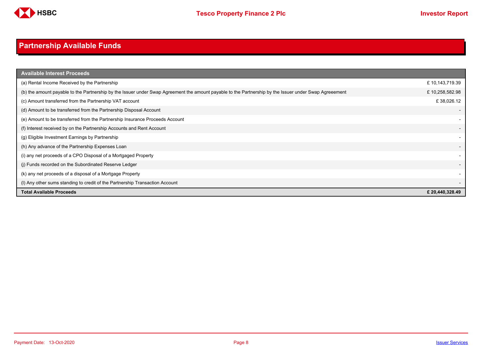

# <span id="page-7-0"></span>**Partnership Available Funds**

| <b>Available Interest Proceeds</b>                                                                                                                     |                 |
|--------------------------------------------------------------------------------------------------------------------------------------------------------|-----------------|
| (a) Rental Income Received by the Partnership                                                                                                          | £10,143,719.39  |
| (b) the amount payable to the Partnership by the Issuer under Swap Agreement the amount payable to the Partnership by the Issuer under Swap Agreeement | £10,258,582.98  |
| (c) Amount transferred from the Partnership VAT account                                                                                                | £38,026.12      |
| (d) Amount to be transferred from the Partnership Disposal Account                                                                                     |                 |
| (e) Amount to be transferred from the Partnership Insurance Proceeds Account                                                                           |                 |
| (f) Interest received by on the Partnership Accounts and Rent Account                                                                                  |                 |
| (g) Eligible Investment Earnings by Partnership                                                                                                        |                 |
| (h) Any advance of the Partnership Expenses Loan                                                                                                       |                 |
| (i) any net proceeds of a CPO Disposal of a Mortgaged Property                                                                                         |                 |
| (i) Funds recorded on the Subordinated Reserve Ledger                                                                                                  |                 |
| (k) any net proceeds of a disposal of a Mortgage Property                                                                                              |                 |
| (I) Any other sums standing to credit of the Partnership Transaction Account                                                                           |                 |
| <b>Total Available Proceeds</b>                                                                                                                        | £ 20,440,328.49 |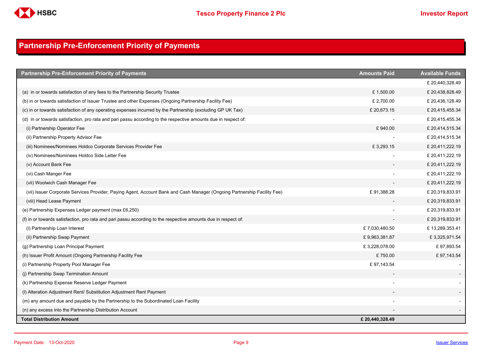

## <span id="page-8-0"></span>**Partnership Pre-Enforcement Priority of Payments**

| <b>Partnership Pre-Enforcement Priority of Payments</b>                                                                  | <b>Amounts Paid</b> | <b>Available Funds</b> |
|--------------------------------------------------------------------------------------------------------------------------|---------------------|------------------------|
|                                                                                                                          |                     | £ 20,440,328.49        |
| (a) in or towards satisfaction of any fees to the Partnership Security Trustee                                           | £1,500.00           | £ 20,438,828.49        |
| (b) in or towards satisfaction of Issuer Trustee and other Expenses (Ongoing Partnership Facility Fee)                   | £ 2,700.00          | £ 20,436,128.49        |
| (c) in or towards satisfaction of any operating expenses incurred by the Partnership (excluding GP UK Tax)               | £20,673.15          | £ 20,415,455.34        |
| (d) in or towards satisfaction, pro rata and pari passu according to the respective amounts due in respect of:           |                     | £ 20,415,455.34        |
| (i) Partnership Operator Fee                                                                                             | £940.00             | £ 20,414,515.34        |
| (ii) Partnership Property Advisor Fee                                                                                    |                     | £ 20,414,515.34        |
| (iii) Nominees/Nominees Holdco Corporate Services Provider Fee                                                           | £3,293.15           | £ 20,411,222.19        |
| (iv) Nominees/Nominees Holdco Side Letter Fee                                                                            |                     | £ 20,411,222.19        |
| (v) Account Bank Fee                                                                                                     |                     | £20,411,222.19         |
| (vi) Cash Manger Fee                                                                                                     |                     | £ 20,411,222.19        |
| (vii) Woolwich Cash Manager Fee                                                                                          |                     | £20,411,222.19         |
| (vii) Issuer Corporate Services Provider, Paying Agent, Account Bank and Cash Manager (Ongoing Partnership Facility Fee) | £91,388.28          | £ 20,319,833.91        |
| (viii) Head Lease Payment                                                                                                |                     | £ 20,319,833.91        |
| (e) Partnership Expenses Ledger payment (max £6,250)                                                                     |                     | £ 20,319,833.91        |
| (f) in or towards satisfaction, pro rata and pari passu according to the respective amounts due in respect of:           |                     | £ 20,319,833.91        |
| (i) Partnership Loan Interest                                                                                            | £7,030,480.50       | £13,289,353.41         |
| (ii) Partnership Swap Payment                                                                                            | £9,963,381.87       | £3,325,971.54          |
| (g) Partnership Loan Principal Payment                                                                                   | £3,228,078.00       | £97,893.54             |
| (h) Issuer Profit Amount (Ongoing Partnership Facility Fee                                                               | £750.00             | £97,143.54             |
| (i) Partnership Property Pool Manager Fee                                                                                | £97,143.54          |                        |
| (j) Partnership Swap Termination Amount                                                                                  |                     |                        |
| (k) Partnership Expense Reserve Ledger Payment                                                                           |                     |                        |
| (I) Alteration Adjustment Rent/ Substitution Adjustment Rent Payment                                                     |                     |                        |
| (m) any amount due and payable by the Partnership to the Subordinated Loan Facility                                      |                     |                        |
| (n) any excess into the Partnership Distribution Account                                                                 |                     |                        |
| <b>Total Distribution Amount</b>                                                                                         | £ 20,440,328.49     |                        |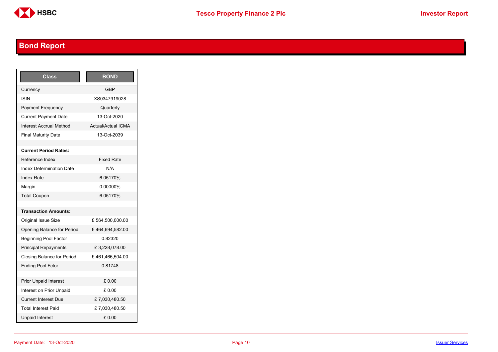

# <span id="page-9-0"></span>**Bond Report**

| Class                           | <b>BOND</b>               |
|---------------------------------|---------------------------|
| Currency                        | <b>GBP</b>                |
| ISIN                            | XS0347919028              |
| <b>Payment Frequency</b>        | Quarterly                 |
| <b>Current Payment Date</b>     | 13-Oct-2020               |
| Interest Accrual Method         | <b>Actual/Actual ICMA</b> |
| <b>Final Maturity Date</b>      | 13-Oct-2039               |
|                                 |                           |
| <b>Current Period Rates:</b>    |                           |
| Reference Index                 | <b>Fixed Rate</b>         |
| <b>Index Determination Date</b> | N/A                       |
| <b>Index Rate</b>               | 6.05170%                  |
| Margin                          | 0.00000%                  |
| <b>Total Coupon</b>             | 6.05170%                  |
|                                 |                           |
| <b>Transaction Amounts:</b>     |                           |
| Original Issue Size             | £564,500,000.00           |
| Opening Balance for Period      | £464,694,582.00           |
| <b>Beginning Pool Factor</b>    | 0.82320                   |
| <b>Principal Repayments</b>     | £3,228,078.00             |
| Closing Balance for Period      | £461,466,504.00           |
| <b>Ending Pool Fctor</b>        | 0.81748                   |
|                                 |                           |
| <b>Prior Unpaid Interest</b>    | £ 0.00                    |
| Interest on Prior Unpaid        | £ 0.00                    |
| <b>Current Interest Due</b>     | £7,030,480.50             |
| <b>Total Interest Paid</b>      | £7,030,480.50             |
| <b>Unpaid Interest</b>          | £0.00                     |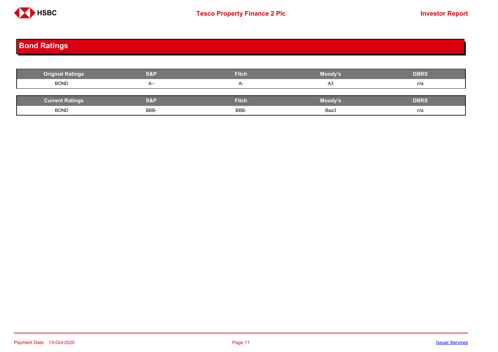

# <span id="page-10-0"></span>**Bond Ratings**

| <b>Original Ratings</b> | <b>S&amp;P</b> | <b>Fitch</b> | Moody's | <b>DBRS</b> |
|-------------------------|----------------|--------------|---------|-------------|
| <b>BOND</b>             | $A-$           | $A-$         | A3      | n/a         |
|                         |                |              |         |             |
| <b>Current Ratings</b>  | S&P            | <b>Fitch</b> | Moody's | <b>DBRS</b> |
| <b>BOND</b>             | BBB-           | BBB-         | Baa3    | n/a         |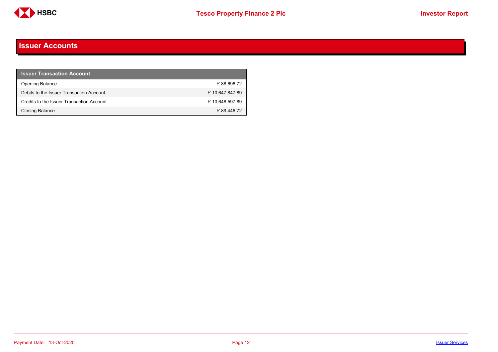

#### <span id="page-11-0"></span>**Issuer Accounts**

| <b>Issuer Transaction Account</b>         |                |
|-------------------------------------------|----------------|
| <b>Opening Balance</b>                    | £88,696.72     |
| Debits to the Issuer Transaction Account  | £10,647,847.89 |
| Credits to the Issuer Transaction Account | £10,648,597.89 |
| Closing Balance                           | £89,446.72     |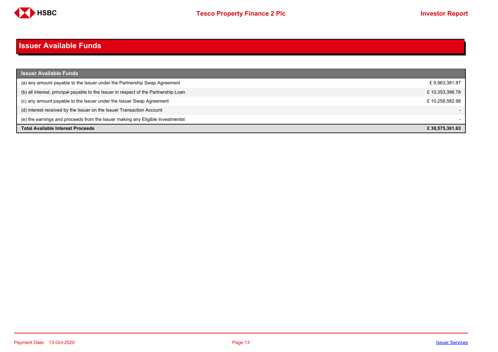

#### <span id="page-12-0"></span>**Issuer Available Funds**

| <b>Issuer Available Funds</b>                                                        |                |
|--------------------------------------------------------------------------------------|----------------|
| (a) any amount payable to the Issuer under the Partnership Swap Agreement            | £9,963,381.87  |
| (b) all interest, principal payable to the Issuer in respect of the Partnership Loan | £10,353,396.78 |
| (c) any amount payable to the Issuer under the Issuer Swap Agreement                 | £10.258.582.98 |
| (d) interest received by the Issuer on the Issuer Transaction Account                |                |
| (e) the earnings and proceeds from the Issuer making any Eligible Investmentst       |                |
| <b>Total Available Interest Proceeds</b>                                             | £30.575.361.63 |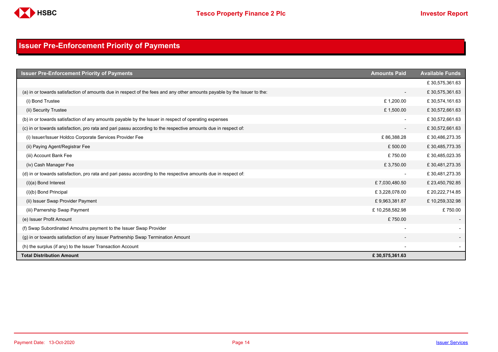

## <span id="page-13-0"></span>**Issuer Pre-Enforcement Priority of Payments**

| <b>Issuer Pre-Enforcement Priority of Payments</b>                                                                       | <b>Amounts Paid</b>      | <b>Available Funds</b> |
|--------------------------------------------------------------------------------------------------------------------------|--------------------------|------------------------|
|                                                                                                                          |                          | £30,575,361.63         |
| (a) in or towards satisfaction of amounts due in respect of the fees and any other amounts payable by the Issuer to the: | $\overline{\phantom{a}}$ | £30,575,361.63         |
| (i) Bond Trustee                                                                                                         | £1,200.00                | £30,574,161.63         |
| (ii) Security Trustee                                                                                                    | £1,500.00                | £30,572,661.63         |
| (b) in or towards satisfaction of any amounts payable by the Issuer in respect of operating expenses                     |                          | £30,572,661.63         |
| (c) in or towards satisfaction, pro rata and pari passu according to the respective amounts due in respect of:           | $\overline{\phantom{a}}$ | £30,572,661.63         |
| (i) Issuer/Issuer Holdco Corporate Services Provider Fee                                                                 | £86,388.28               | £30,486,273.35         |
| (ii) Paying Agent/Registrar Fee                                                                                          | £500.00                  | £30,485,773.35         |
| (iii) Account Bank Fee                                                                                                   | £750.00                  | £30,485,023.35         |
| (iv) Cash Manager Fee                                                                                                    | £3,750.00                | £30,481,273.35         |
| (d) in or towards satisfaction, pro rata and pari passu according to the respective amounts due in respect of:           | $\overline{\phantom{a}}$ | £30,481,273.35         |
| $(i)(a)$ Bond Interest                                                                                                   | £7,030,480.50            | £23,450,792.85         |
| (i)(b) Bond Principal                                                                                                    | £3,228,078.00            | £ 20,222,714.85        |
| (ii) Issuer Swap Provider Payment                                                                                        | £9,963,381.87            | £10,259,332.98         |
| (iii) Parnership Swap Payment                                                                                            | £10,258,582.98           | £750.00                |
| (e) Issuer Profit Amount                                                                                                 | £750.00                  |                        |
| (f) Swap Subordinated Amoutns payment to the Issuer Swap Provider                                                        |                          |                        |
| (g) in or towards satisfaction of any Issuer Partnership Swap Termination Amount                                         |                          |                        |
| (h) the surplus (if any) to the Issuer Transaction Account                                                               |                          |                        |
| <b>Total Distribution Amount</b>                                                                                         | £30,575,361.63           |                        |